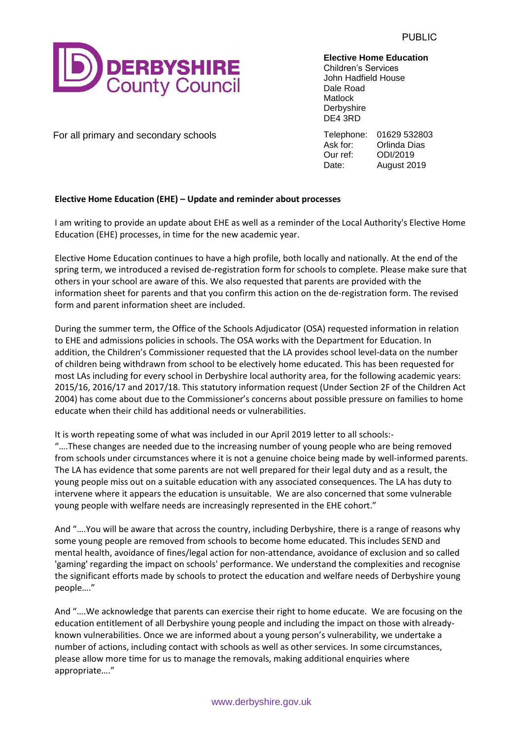

**Elective Home Education**

Children's Services John Hadfield House Dale Road **Matlock Derbyshire** DE4 3RD

For all primary and secondary schools Telephone: 01629 532803<br>Ask for: Orlinda Dias **Orlinda Dias** Our ref: ODI/2019 Date: August 2019

## **Elective Home Education (EHE) – Update and reminder about processes**

I am writing to provide an update about EHE as well as a reminder of the Local Authority's Elective Home Education (EHE) processes, in time for the new academic year.

Elective Home Education continues to have a high profile, both locally and nationally. At the end of the spring term, we introduced a revised de-registration form for schools to complete. Please make sure that others in your school are aware of this. We also requested that parents are provided with the information sheet for parents and that you confirm this action on the de-registration form. The revised form and parent information sheet are included.

During the summer term, the Office of the Schools Adjudicator (OSA) requested information in relation to EHE and admissions policies in schools. The OSA works with the Department for Education. In addition, the Children's Commissioner requested that the LA provides school level-data on the number of children being withdrawn from school to be electively home educated. This has been requested for most LAs including for every school in Derbyshire local authority area, for the following academic years: 2015/16, 2016/17 and 2017/18. This statutory information request (Under Section 2F of the Children Act 2004) has come about due to the Commissioner's concerns about possible pressure on families to home educate when their child has additional needs or vulnerabilities.

It is worth repeating some of what was included in our April 2019 letter to all schools:- "….These changes are needed due to the increasing number of young people who are being removed from schools under circumstances where it is not a genuine choice being made by well-informed parents. The LA has evidence that some parents are not well prepared for their legal duty and as a result, the young people miss out on a suitable education with any associated consequences. The LA has duty to intervene where it appears the education is unsuitable. We are also concerned that some vulnerable young people with welfare needs are increasingly represented in the EHE cohort."

And "….You will be aware that across the country, including Derbyshire, there is a range of reasons why some young people are removed from schools to become home educated. This includes SEND and mental health, avoidance of fines/legal action for non-attendance, avoidance of exclusion and so called 'gaming' regarding the impact on schools' performance. We understand the complexities and recognise the significant efforts made by schools to protect the education and welfare needs of Derbyshire young people…."

And "….We acknowledge that parents can exercise their right to home educate. We are focusing on the education entitlement of all Derbyshire young people and including the impact on those with alreadyknown vulnerabilities. Once we are informed about a young person's vulnerability, we undertake a number of actions, including contact with schools as well as other services. In some circumstances, please allow more time for us to manage the removals, making additional enquiries where appropriate…."